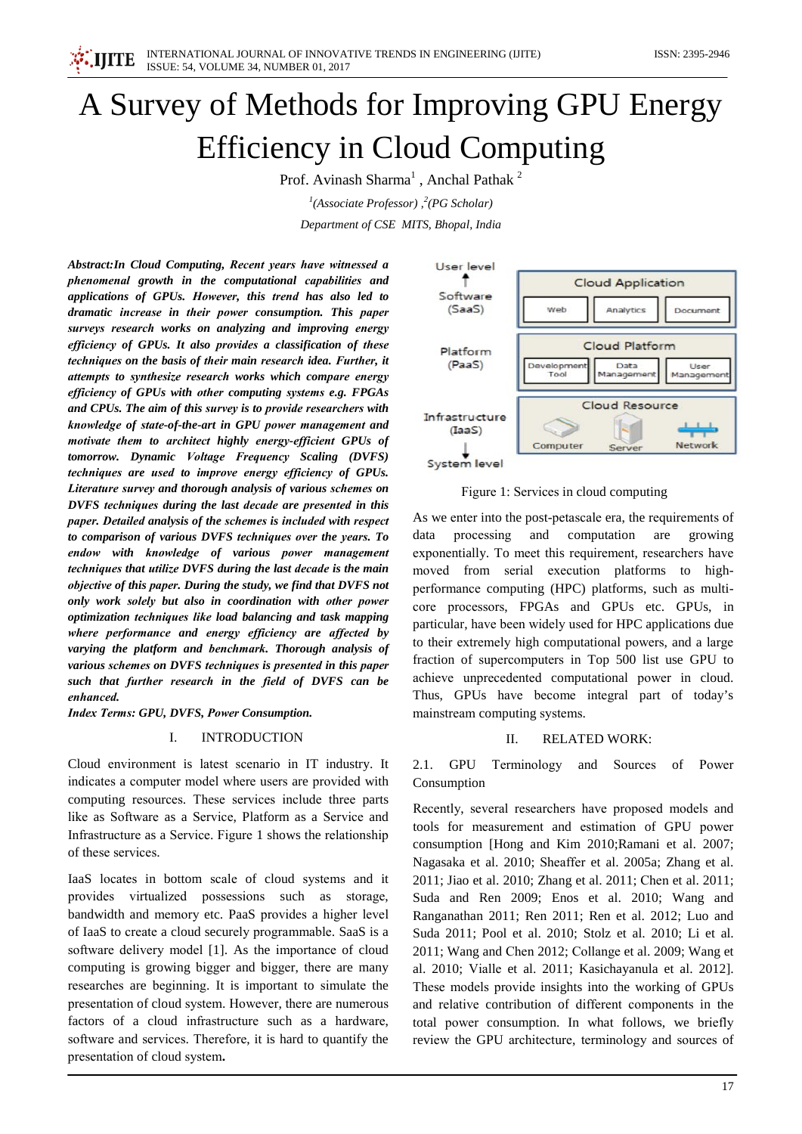# A Survey of Methods for Improving GPU Energy **Efficiency in Cloud Computing**

Prof. Avinash Sharma<sup>1</sup>, Anchal Pathak<sup>2</sup>

<sup>1</sup>(Associate Professor),<sup>2</sup>(PG Scholar) Department of CSE MITS, Bhopal, India

Abstract: In Cloud Computing, Recent years have witnessed a phenomenal growth in the computational capabilities and applications of GPUs. However, this trend has also led to dramatic increase in their power consumption. This paper surveys research works on analyzing and improving energy efficiency of GPUs. It also provides a classification of these techniques on the basis of their main research idea. Further, it attempts to synthesize research works which compare energy efficiency of GPUs with other computing systems e.g. FPGAs and CPUs. The aim of this survey is to provide researchers with knowledge of state-of-the-art in GPU power management and motivate them to architect highly energy-efficient GPUs of tomorrow. Dynamic Voltage Frequency Scaling (DVFS) techniques are used to improve energy efficiency of GPUs. Literature survey and thorough analysis of various schemes on DVFS techniques during the last decade are presented in this paper. Detailed analysis of the schemes is included with respect to comparison of various DVFS techniques over the years. To endow with knowledge of various power management techniques that utilize DVFS during the last decade is the main objective of this paper. During the study, we find that DVFS not only work solely but also in coordination with other power optimization techniques like load balancing and task mapping where performance and energy efficiency are affected by varying the platform and benchmark. Thorough analysis of various schemes on DVFS techniques is presented in this paper such that further research in the field of DVFS can be enhanced

**Index Terms: GPU, DVFS, Power Consumption.** 

#### L. **INTRODUCTION**

Cloud environment is latest scenario in IT industry. It indicates a computer model where users are provided with computing resources. These services include three parts like as Software as a Service, Platform as a Service and Infrastructure as a Service. Figure 1 shows the relationship of these services.

IaaS locates in bottom scale of cloud systems and it provides virtualized possessions such as storage, bandwidth and memory etc. PaaS provides a higher level of IaaS to create a cloud securely programmable. SaaS is a software delivery model [1]. As the importance of cloud computing is growing bigger and bigger, there are many researches are beginning. It is important to simulate the presentation of cloud system. However, there are numerous factors of a cloud infrastructure such as a hardware, software and services. Therefore, it is hard to quantify the presentation of cloud system.



Figure 1: Services in cloud computing

As we enter into the post-petascale era, the requirements of data processing and computation are growing exponentially. To meet this requirement, researchers have moved from serial execution platforms to highperformance computing (HPC) platforms, such as multicore processors, FPGAs and GPUs etc. GPUs, in particular, have been widely used for HPC applications due to their extremely high computational powers, and a large fraction of supercomputers in Top 500 list use GPU to achieve unprecedented computational power in cloud. Thus, GPUs have become integral part of today's mainstream computing systems.

#### $\Pi$ . **RELATED WORK:**

of 2.1. GPU Terminology and Sources Power Consumption

Recently, several researchers have proposed models and tools for measurement and estimation of GPU power consumption [Hong and Kim 2010; Ramani et al. 2007; Nagasaka et al. 2010; Sheaffer et al. 2005a; Zhang et al. 2011; Jiao et al. 2010; Zhang et al. 2011; Chen et al. 2011; Suda and Ren 2009; Enos et al. 2010; Wang and Ranganathan 2011; Ren 2011; Ren et al. 2012; Luo and Suda 2011; Pool et al. 2010; Stolz et al. 2010; Li et al. 2011; Wang and Chen 2012; Collange et al. 2009; Wang et al. 2010; Vialle et al. 2011; Kasichayanula et al. 2012]. These models provide insights into the working of GPUs and relative contribution of different components in the total power consumption. In what follows, we briefly review the GPU architecture, terminology and sources of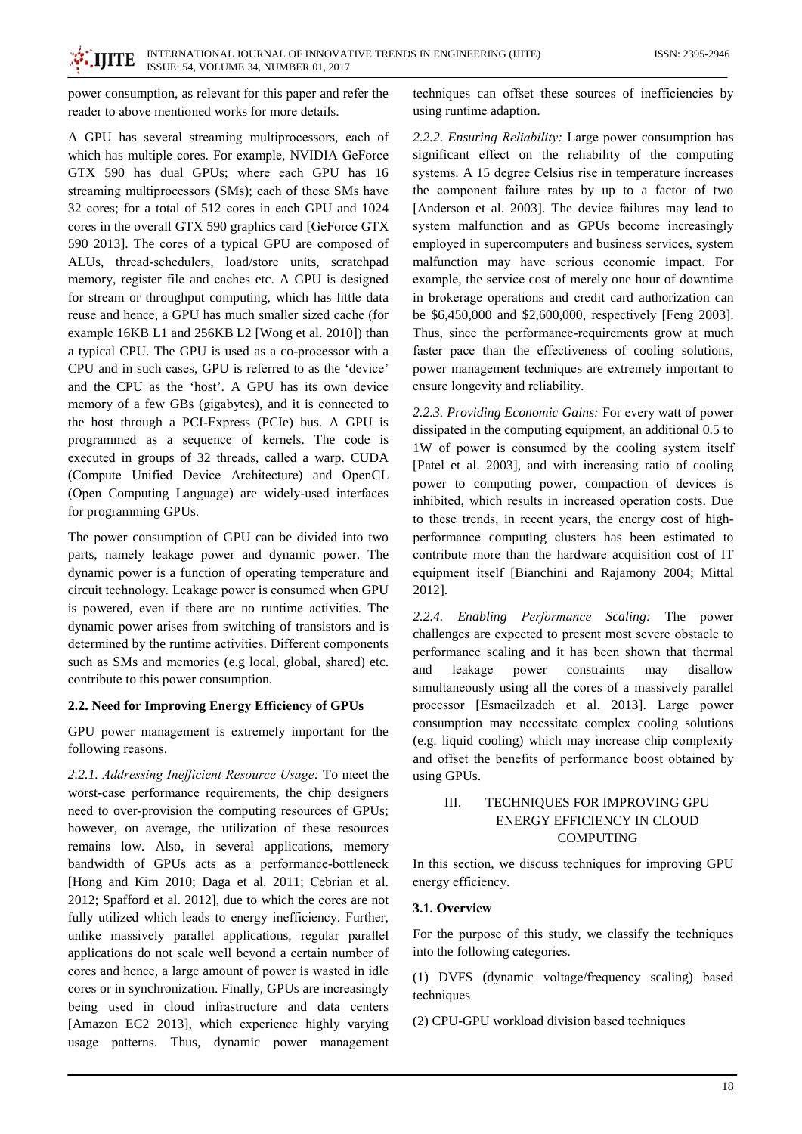power consumption, as relevant for this paper and refer the reader to above mentioned works for more details.

A GPU has several streaming multiprocessors, each of which has multiple cores. For example, NVIDIA GeForce GTX 590 has dual GPUs; where each GPU has 16 streaming multiprocessors (SMs); each of these SMs have 32 cores; for a total of 512 cores in each GPU and 1024 cores in the overall GTX 590 graphics card [GeForce GTX 590 2013]. The cores of a typical GPU are composed of ALUs, thread-schedulers, load/store units, scratchpad memory, register file and caches etc. A GPU is designed for stream or throughput computing, which has little data reuse and hence, a GPU has much smaller sized cache (for example 16KB L1 and 256KB L2 [Wong et al. 2010]) than a typical CPU. The GPU is used as a co-processor with a CPU and in such cases, GPU is referred to as the 'device' and the CPU as the 'host'. A GPU has its own device memory of a few GBs (gigabytes), and it is connected to the host through a PCI-Express (PCIe) bus. A GPU is programmed as a sequence of kernels. The code is executed in groups of 32 threads, called a warp. CUDA (Compute Unified Device Architecture) and OpenCL (Open Computing Language) are widely-used interfaces for programming GPUs.

The power consumption of GPU can be divided into two parts, namely leakage power and dynamic power. The dynamic power is a function of operating temperature and circuit technology. Leakage power is consumed when GPU is powered, even if there are no runtime activities. The dynamic power arises from switching of transistors and is determined by the runtime activities. Different components such as SMs and memories (e.g local, global, shared) etc. contribute to this power consumption.

### 2.2. Need for Improving Energy Efficiency of GPUs

GPU power management is extremely important for the following reasons.

2.2.1. Addressing Inefficient Resource Usage: To meet the worst-case performance requirements, the chip designers need to over-provision the computing resources of GPUs; however, on average, the utilization of these resources remains low. Also, in several applications, memory bandwidth of GPUs acts as a performance-bottleneck [Hong and Kim 2010; Daga et al. 2011; Cebrian et al. 2012; Spafford et al. 2012], due to which the cores are not fully utilized which leads to energy inefficiency. Further, unlike massively parallel applications, regular parallel applications do not scale well beyond a certain number of cores and hence, a large amount of power is wasted in idle cores or in synchronization. Finally, GPUs are increasingly being used in cloud infrastructure and data centers [Amazon EC2 2013], which experience highly varying usage patterns. Thus, dynamic power management techniques can offset these sources of inefficiencies by using runtime adaption.

2.2.2. Ensuring Reliability: Large power consumption has significant effect on the reliability of the computing systems. A 15 degree Celsius rise in temperature increases the component failure rates by up to a factor of two [Anderson et al. 2003]. The device failures may lead to system malfunction and as GPUs become increasingly employed in supercomputers and business services, system malfunction may have serious economic impact. For example, the service cost of merely one hour of downtime in brokerage operations and credit card authorization can be \$6,450,000 and \$2,600,000, respectively [Feng 2003]. Thus, since the performance-requirements grow at much faster pace than the effectiveness of cooling solutions, power management techniques are extremely important to ensure longevity and reliability.

2.2.3. Providing Economic Gains: For every watt of power dissipated in the computing equipment, an additional 0.5 to 1W of power is consumed by the cooling system itself [Patel et al. 2003], and with increasing ratio of cooling power to computing power, compaction of devices is inhibited, which results in increased operation costs. Due to these trends, in recent years, the energy cost of highperformance computing clusters has been estimated to contribute more than the hardware acquisition cost of IT equipment itself [Bianchini and Rajamony 2004; Mittal 2012].

2.2.4. Enabling Performance Scaling: The power challenges are expected to present most severe obstacle to performance scaling and it has been shown that thermal power may and leakage constraints disallow simultaneously using all the cores of a massively parallel processor [Esmaeilzadeh et al. 2013]. Large power consumption may necessitate complex cooling solutions (e.g. liquid cooling) which may increase chip complexity and offset the benefits of performance boost obtained by using GPUs.

### $III.$ TECHNIQUES FOR IMPROVING GPU **ENERGY EFFICIENCY IN CLOUD COMPUTING**

In this section, we discuss techniques for improving GPU energy efficiency.

### 3.1. Overview

For the purpose of this study, we classify the techniques into the following categories.

(1) DVFS (dynamic voltage/frequency scaling) based techniques

(2) CPU-GPU workload division based techniques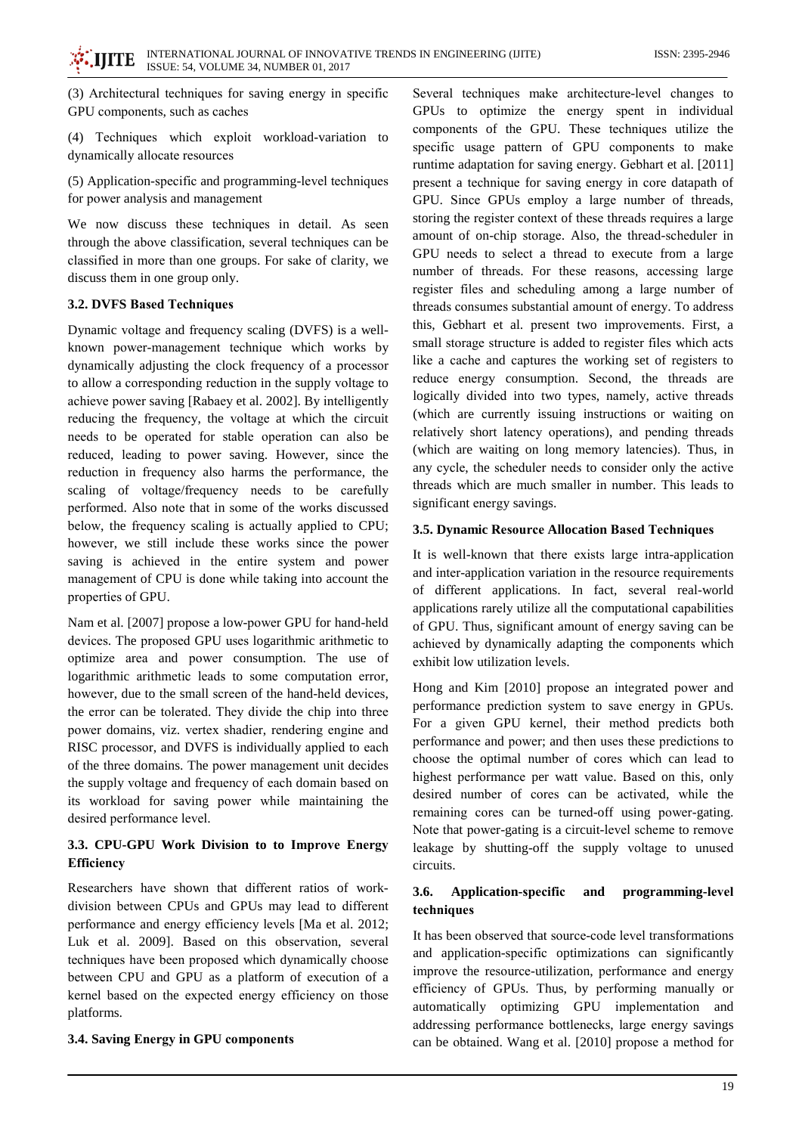(3) Architectural techniques for saving energy in specific GPU components, such as caches

(4) Techniques which exploit workload-variation to dynamically allocate resources

(5) Application-specific and programming-level techniques for power analysis and management

We now discuss these techniques in detail. As seen through the above classification, several techniques can be classified in more than one groups. For sake of clarity, we discuss them in one group only.

### 3.2. DVFS Based Techniques

Dynamic voltage and frequency scaling (DVFS) is a wellknown power-management technique which works by dynamically adjusting the clock frequency of a processor to allow a corresponding reduction in the supply voltage to achieve power saving [Rabaey et al. 2002]. By intelligently reducing the frequency, the voltage at which the circuit needs to be operated for stable operation can also be reduced, leading to power saving. However, since the reduction in frequency also harms the performance, the scaling of voltage/frequency needs to be carefully performed. Also note that in some of the works discussed below, the frequency scaling is actually applied to CPU; however, we still include these works since the power saving is achieved in the entire system and power management of CPU is done while taking into account the properties of GPU.

Nam et al. [2007] propose a low-power GPU for hand-held devices. The proposed GPU uses logarithmic arithmetic to optimize area and power consumption. The use of logarithmic arithmetic leads to some computation error, however, due to the small screen of the hand-held devices, the error can be tolerated. They divide the chip into three power domains, viz. vertex shadier, rendering engine and RISC processor, and DVFS is individually applied to each of the three domains. The power management unit decides the supply voltage and frequency of each domain based on its workload for saving power while maintaining the desired performance level.

# 3.3. CPU-GPU Work Division to to Improve Energy Efficiency

Researchers have shown that different ratios of workdivision between CPUs and GPUs may lead to different performance and energy efficiency levels [Ma et al. 2012; Luk et al. 2009]. Based on this observation, several techniques have been proposed which dynamically choose between CPU and GPU as a platform of execution of a kernel based on the expected energy efficiency on those platforms.

# 3.4. Saving Energy in GPU components

Several techniques make architecture-level changes to GPUs to optimize the energy spent in individual components of the GPU. These techniques utilize the specific usage pattern of GPU components to make runtime adaptation for saving energy. Gebhart et al. [2011] present a technique for saving energy in core datapath of GPU. Since GPUs employ a large number of threads, storing the register context of these threads requires a large amount of on-chip storage. Also, the thread-scheduler in GPU needs to select a thread to execute from a large number of threads. For these reasons, accessing large register files and scheduling among a large number of threads consumes substantial amount of energy. To address this, Gebhart et al. present two improvements. First, a small storage structure is added to register files which acts like a cache and captures the working set of registers to reduce energy consumption. Second, the threads are logically divided into two types, namely, active threads (which are currently issuing instructions or waiting on relatively short latency operations), and pending threads (which are waiting on long memory latencies). Thus, in any cycle, the scheduler needs to consider only the active threads which are much smaller in number. This leads to significant energy savings.

### 3.5. Dynamic Resource Allocation Based Techniques

It is well-known that there exists large intra-application and inter-application variation in the resource requirements of different applications. In fact, several real-world applications rarely utilize all the computational capabilities of GPU. Thus, significant amount of energy saving can be achieved by dynamically adapting the components which exhibit low utilization levels.

Hong and Kim [2010] propose an integrated power and performance prediction system to save energy in GPUs. For a given GPU kernel, their method predicts both performance and power; and then uses these predictions to choose the optimal number of cores which can lead to highest performance per watt value. Based on this, only desired number of cores can be activated, while the remaining cores can be turned-off using power-gating. Note that power-gating is a circuit-level scheme to remove leakage by shutting-off the supply voltage to unused circuits.

#### 3.6. Application-specific and programming-level techniques

It has been observed that source-code level transformations and application-specific optimizations can significantly improve the resource-utilization, performance and energy efficiency of GPUs. Thus, by performing manually or automatically optimizing GPU implementation and addressing performance bottlenecks, large energy savings can be obtained. Wang et al. [2010] propose a method for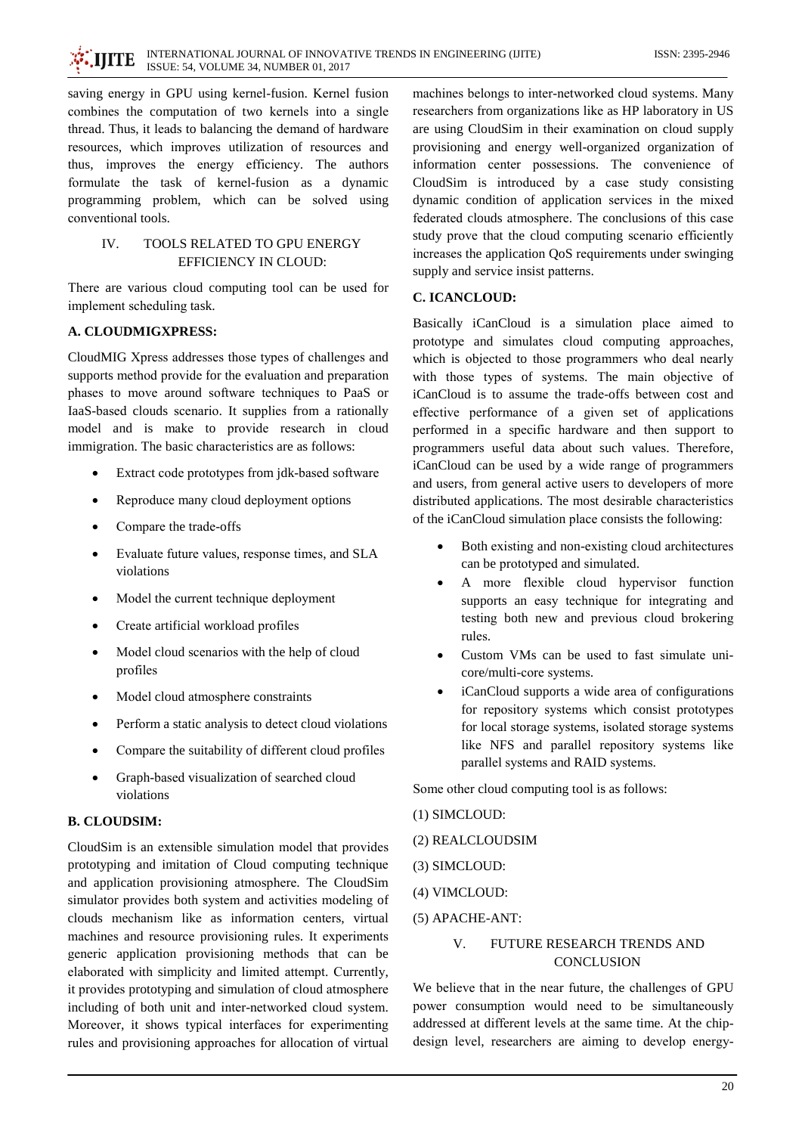saving energy in GPU using kernel-fusion. Kernel fusion combines the computation of two kernels into a single thread. Thus, it leads to balancing the demand of hardware resources, which improves utilization of resources and thus, improves the energy efficiency. The authors formulate the task of kernel-fusion as a dynamic programming problem, which can be solved using conventional tools.

### TOOLS RELATED TO GPU ENERGY  $\mathbf{I} \mathbf{V}$ EFFICIENCY IN CLOUD:

There are various cloud computing tool can be used for implement scheduling task.

# A. CLOUDMIGXPRESS:

CloudMIG Xpress addresses those types of challenges and supports method provide for the evaluation and preparation phases to move around software techniques to PaaS or IaaS-based clouds scenario. It supplies from a rationally model and is make to provide research in cloud immigration. The basic characteristics are as follows:

- Extract code prototypes from jdk-based software
- Reproduce many cloud deployment options
- Compare the trade-offs
- Evaluate future values, response times, and SLA violations
- Model the current technique deployment
- Create artificial workload profiles
- Model cloud scenarios with the help of cloud profiles
- Model cloud atmosphere constraints
- Perform a static analysis to detect cloud violations
- Compare the suitability of different cloud profiles
- Graph-based visualization of searched cloud  $\bullet$ violations

# **B. CLOUDSIM:**

CloudSim is an extensible simulation model that provides prototyping and imitation of Cloud computing technique and application provisioning atmosphere. The CloudSim simulator provides both system and activities modeling of clouds mechanism like as information centers, virtual machines and resource provisioning rules. It experiments generic application provisioning methods that can be elaborated with simplicity and limited attempt. Currently, it provides prototyping and simulation of cloud atmosphere including of both unit and inter-networked cloud system. Moreover, it shows typical interfaces for experimenting rules and provisioning approaches for allocation of virtual machines belongs to inter-networked cloud systems. Many researchers from organizations like as HP laboratory in US are using CloudSim in their examination on cloud supply provisioning and energy well-organized organization of information center possessions. The convenience of CloudSim is introduced by a case study consisting dynamic condition of application services in the mixed federated clouds atmosphere. The conclusions of this case study prove that the cloud computing scenario efficiently increases the application QoS requirements under swinging supply and service insist patterns.

### **C. ICANCLOUD:**

Basically iCanCloud is a simulation place aimed to prototype and simulates cloud computing approaches, which is objected to those programmers who deal nearly with those types of systems. The main objective of iCanCloud is to assume the trade-offs between cost and effective performance of a given set of applications performed in a specific hardware and then support to programmers useful data about such values. Therefore, iCanCloud can be used by a wide range of programmers and users, from general active users to developers of more distributed applications. The most desirable characteristics of the iCanCloud simulation place consists the following:

- Both existing and non-existing cloud architectures can be prototyped and simulated.
- A more flexible cloud hypervisor function supports an easy technique for integrating and testing both new and previous cloud brokering rules.
- Custom VMs can be used to fast simulate unicore/multi-core systems.
- iCanCloud supports a wide area of configurations for repository systems which consist prototypes for local storage systems, isolated storage systems like NFS and parallel repository systems like parallel systems and RAID systems.

Some other cloud computing tool is as follows:

### (1) SIMCLOUD:

### (2) REALCLOUDSIM

- (3) SIMCLOUD:
- (4) VIMCLOUD:
- (5) APACHE-ANT:

### $\overline{V}$ FUTURE RESEARCH TRENDS AND **CONCLUSION**

We believe that in the near future, the challenges of GPU power consumption would need to be simultaneously addressed at different levels at the same time. At the chipdesign level, researchers are aiming to develop energy-